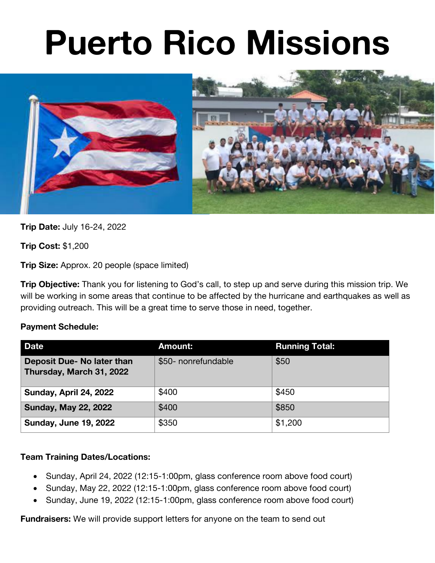# **Puerto Rico Missions**



**Trip Date:** July 16-24, 2022

**Trip Cost:** \$1,200

**Trip Size:** Approx. 20 people (space limited)

**Trip Objective:** Thank you for listening to God's call, to step up and serve during this mission trip. We will be working in some areas that continue to be affected by the hurricane and earthquakes as well as providing outreach. This will be a great time to serve those in need, together.

# **Payment Schedule:**

| <b>Date</b>                                            | <b>Amount:</b>      | <b>Running Total:</b> |
|--------------------------------------------------------|---------------------|-----------------------|
| Deposit Due- No later than<br>Thursday, March 31, 2022 | \$50- nonrefundable | \$50                  |
| Sunday, April 24, 2022                                 | \$400               | \$450                 |
| <b>Sunday, May 22, 2022</b>                            | \$400               | \$850                 |
| <b>Sunday, June 19, 2022</b>                           | \$350               | \$1,200               |

# **Team Training Dates/Locations:**

- Sunday, April 24, 2022 (12:15-1:00pm, glass conference room above food court)
- Sunday, May 22, 2022 (12:15-1:00pm, glass conference room above food court)
- Sunday, June 19, 2022 (12:15-1:00pm, glass conference room above food court)

**Fundraisers:** We will provide support letters for anyone on the team to send out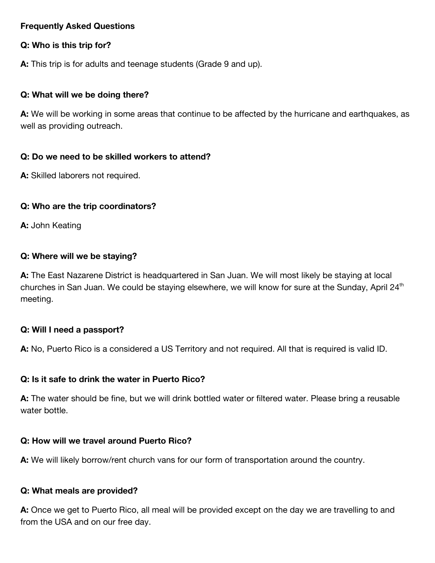## **Frequently Asked Questions**

## **Q: Who is this trip for?**

**A:** This trip is for adults and teenage students (Grade 9 and up).

## **Q: What will we be doing there?**

**A:** We will be working in some areas that continue to be affected by the hurricane and earthquakes, as well as providing outreach.

## **Q: Do we need to be skilled workers to attend?**

**A:** Skilled laborers not required.

# **Q: Who are the trip coordinators?**

**A:** John Keating

## **Q: Where will we be staying?**

**A:** The East Nazarene District is headquartered in San Juan. We will most likely be staying at local churches in San Juan. We could be staying elsewhere, we will know for sure at the Sunday, April  $24<sup>th</sup>$ meeting.

#### **Q: Will I need a passport?**

**A:** No, Puerto Rico is a considered a US Territory and not required. All that is required is valid ID.

#### **Q: Is it safe to drink the water in Puerto Rico?**

**A:** The water should be fine, but we will drink bottled water or filtered water. Please bring a reusable water bottle.

# **Q: How will we travel around Puerto Rico?**

**A:** We will likely borrow/rent church vans for our form of transportation around the country.

#### **Q: What meals are provided?**

**A:** Once we get to Puerto Rico, all meal will be provided except on the day we are travelling to and from the USA and on our free day.